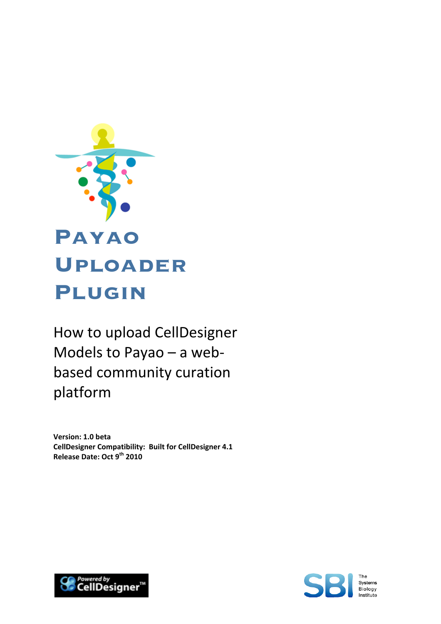

How to upload CellDesigner Models to Payao – a web‐ based community curation platform

**Version: 1.0 beta CellDesigner Compatibility: Built for CellDesigner 4.1 Release Date: Oct 9th 2010**



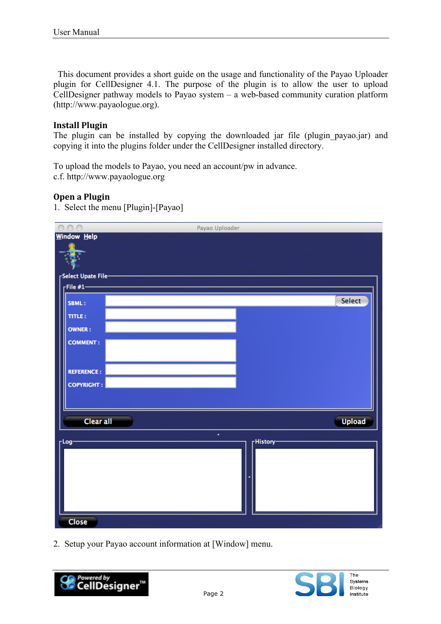This document provides a short guide on the usage and functionality of the Payao Uploader plugin for CellDesigner 4.1. The purpose of the plugin is to allow the user to upload CellDesigner pathway models to Payao system – a web-based community curation platform (http://www.payaologue.org).

## **Install Plugin**

The plugin can be installed by copying the downloaded jar file (plugin\_payao.jar) and copying it into the plugins folder under the CellDesigner installed directory.

To upload the models to Payao, you need an account/pw in advance. c.f. http://www.payaologue.org

## **Open a Plugin**

1. Select the menu [Plugin]-[Payao]



2. Setup your Payao account information at [Window] menu.

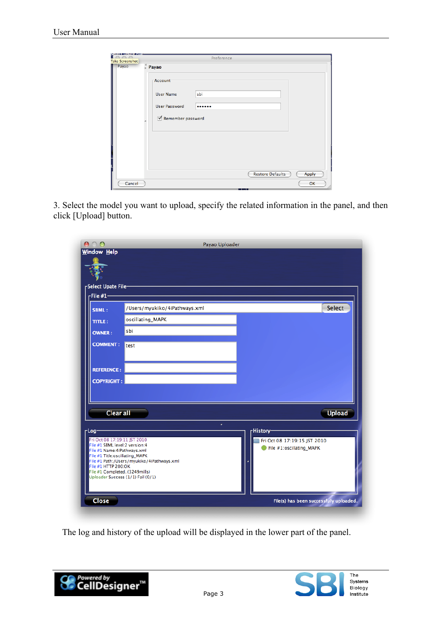|                                 |                                                                                             | Preference |                         |       |
|---------------------------------|---------------------------------------------------------------------------------------------|------------|-------------------------|-------|
| <b>Take Screenshot</b><br>Payao | $P$ ayao<br><b>Account</b><br><b>User Name</b><br><b>User Password</b><br>Remember password | sbi<br>    |                         |       |
|                                 |                                                                                             |            | <b>Restore Defaults</b> | Apply |
| Cancel                          |                                                                                             |            |                         | OK    |

3. Select the model you want to upload, specify the related information in the panel, and then click [Upload] button.



The log and history of the upload will be displayed in the lower part of the panel.